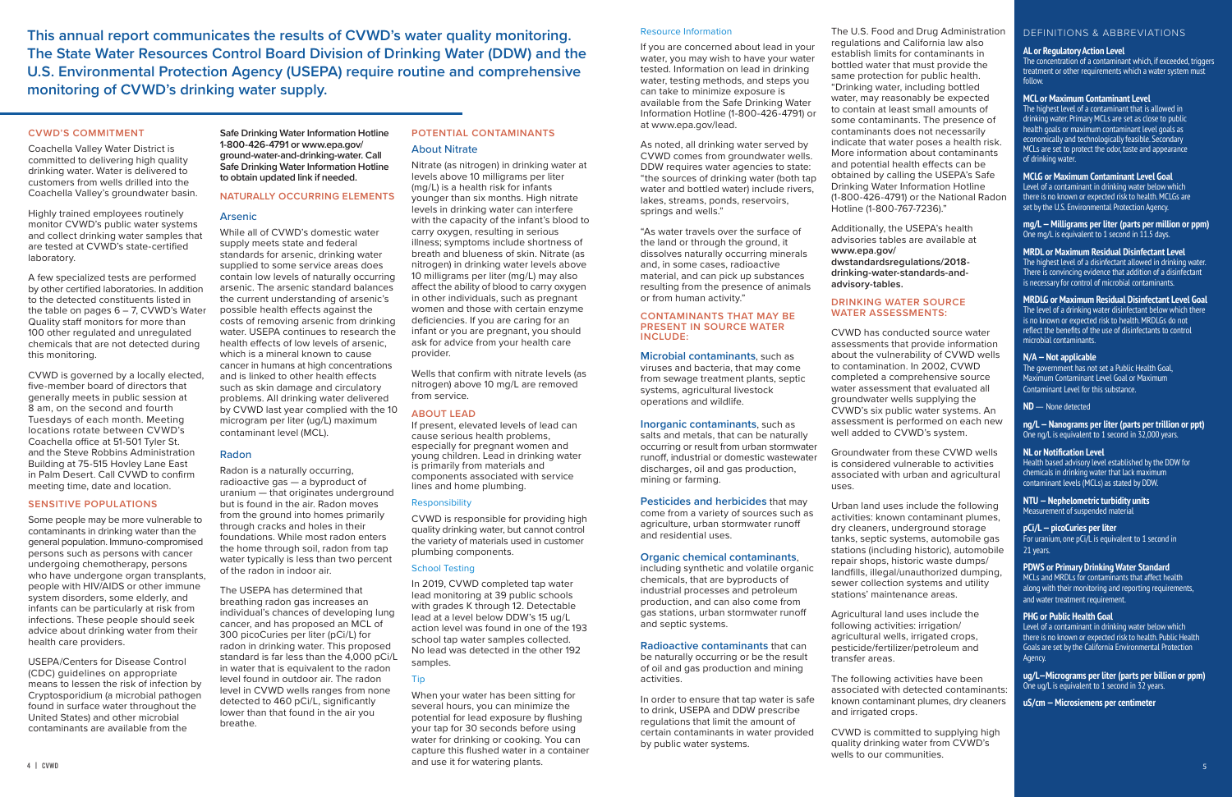**This annual report communicates the results of CVWD's water quality monitoring. The State Water Resources Control Board Division of Drinking Water (DDW) and the U.S. Environmental Protection Agency (USEPA) require routine and comprehensive monitoring of CVWD's drinking water supply.**

#### **CVWD'S COMMITMENT**

Coachella Valley Water District is committed to delivering high quality drinking water. Water is delivered to customers from wells drilled into the Coachella Valley's groundwater basin.

Highly trained employees routinely monitor CVWD's public water systems and collect drinking water samples that are tested at CVWD's state-certified laboratory.

A few specialized tests are performed by other certified laboratories. In addition to the detected constituents listed in the table on pages  $6 - 7$ , CVWD's Water Quality staff monitors for more than 100 other regulated and unregulated chemicals that are not detected during this monitoring.

CVWD is governed by a locally elected, five-member board of directors that generally meets in public session at 8 am, on the second and fourth Tuesdays of each month. Meeting locations rotate between CVWD's Coachella office at 51-501 Tyler St. and the Steve Robbins Administration Building at 75-515 Hovley Lane East in Palm Desert. Call CVWD to confirm meeting time, date and location.

#### **SENSITIVE POPULATIONS**

Some people may be more vulnerable to contaminants in drinking water than the general population. Immuno-compromised persons such as persons with cancer undergoing chemotherapy, persons who have undergone organ transplants, people with HIV/AIDS or other immune system disorders, some elderly, and infants can be particularly at risk from infections. These people should seek advice about drinking water from their health care providers.

USEPA/Centers for Disease Control (CDC) guidelines on appropriate means to lessen the risk of infection by Cryptosporidium (a microbial pathogen found in surface water throughout the United States) and other microbial contaminants are available from the

**Safe Drinking Water Information Hotline 1-800-426-4791 or www.epa.gov/ ground-water-and-drinking-water. Call Safe Drinking Water Information Hotline to obtain updated link if needed.**

#### **NATURALLY OCCURRING ELEMENTS**

#### Arsenic

While all of CVWD's domestic water supply meets state and federal standards for arsenic, drinking water supplied to some service areas does contain low levels of naturally occurring arsenic. The arsenic standard balances the current understanding of arsenic's possible health effects against the costs of removing arsenic from drinking water. USEPA continues to research the health effects of low levels of arsenic, which is a mineral known to cause cancer in humans at high concentrations and is linked to other health effects such as skin damage and circulatory problems. All drinking water delivered by CVWD last year complied with the 10 microgram per liter (ug/L) maximum contaminant level (MCL).

and use it for watering piants. The contract of the contract of the contract of the contract of the contract of the contract of the contract of the contract of the contract of the contract of the contract of the contract o When your water has been sitting for several hours, you can minimize the potential for lead exposure by flushing your tap for 30 seconds before using water for drinking or cooking. You can capture this flushed water in a container and use it for watering plants.

#### Radon

Radon is a naturally occurring, radioactive gas — a byproduct of uranium — that originates underground but is found in the air. Radon moves from the ground into homes primarily through cracks and holes in their foundations. While most radon enters the home through soil, radon from tap water typically is less than two percent of the radon in indoor air.

The USEPA has determined that breathing radon gas increases an individual's chances of developing lung cancer, and has proposed an MCL of 300 picoCuries per liter (pCi/L) for radon in drinking water. This proposed standard is far less than the 4,000 pCi/L in water that is equivalent to the radon level found in outdoor air. The radon level in CVWD wells ranges from none detected to 460 pCi/L, significantly lower than that found in the air you breathe.

## **POTENTIAL CONTAMINANTS** About Nitrate

Nitrate (as nitrogen) in drinking water at levels above 10 milligrams per liter (mg/L) is a health risk for infants younger than six months. High nitrate levels in drinking water can interfere with the capacity of the infant's blood to carry oxygen, resulting in serious illness; symptoms include shortness of breath and blueness of skin. Nitrate (as nitrogen) in drinking water levels above 10 milligrams per liter (mg/L) may also affect the ability of blood to carry oxygen in other individuals, such as pregnant women and those with certain enzyme deficiencies. If you are caring for an infant or you are pregnant, you should ask for advice from your health care provider.

Wells that confirm with nitrate levels (as nitrogen) above 10 mg/L are removed from service.

#### **ABOUT LEAD**

If present, elevated levels of lead can cause serious health problems, especially for pregnant women and young children. Lead in drinking water is primarily from materials and components associated with service lines and home plumbing.

#### Responsibility

CVWD is responsible for providing high quality drinking water, but cannot control the variety of materials used in customer plumbing components.

#### School Testing

In 2019, CVWD completed tap water lead monitoring at 39 public schools with grades K through 12. Detectable lead at a level below DDW's 15 ug/L action level was found in one of the 193 school tap water samples collected. No lead was detected in the other 192 samples.

## Tip

#### Resource Information

If you are concerned about lead in your water, you may wish to have your water tested. Information on lead in drinking water, testing methods, and steps you can take to minimize exposure is available from the Safe Drinking Water Information Hotline (1-800-426-4791) or at www.epa.gov/lead.

As noted, all drinking water served by CVWD comes from groundwater wells. DDW requires water agencies to state: "the sources of drinking water (both tap water and bottled water) include rivers, lakes, streams, ponds, reservoirs, springs and wells."

"As water travels over the surface of the land or through the ground, it dissolves naturally occurring minerals and, in some cases, radioactive material, and can pick up substances resulting from the presence of animals or from human activity."

#### **CONTAMINANTS THAT MAY BE PRESENT IN SOURCE WATER INCLUDE:**

**Microbial contaminants**, such as viruses and bacteria, that may come from sewage treatment plants, septic systems, agricultural livestock operations and wildlife.

#### **Inorganic contaminants**, such as salts and metals, that can be naturally occurring or result from urban stormwater runoff, industrial or domestic wastewater discharges, oil and gas production, mining or farming.

**Pesticides and herbicides** that may come from a variety of sources such as agriculture, urban stormwater runoff and residential uses.

#### **Organic chemical contaminants**,

including synthetic and volatile organic chemicals, that are byproducts of industrial processes and petroleum production, and can also come from gas stations, urban stormwater runoff and septic systems.

**Radioactive contaminants** that can

be naturally occurring or be the result of oil and gas production and mining activities.

In order to ensure that tap water is safe to drink, USEPA and DDW prescribe regulations that limit the amount of certain contaminants in water provided by public water systems.

The U.S. Food and Drug Administration regulations and California law also establish limits for contaminants in bottled water that must provide the same protection for public health. "Drinking water, including bottled water, may reasonably be expected to contain at least small amounts of some contaminants. The presence of contaminants does not necessarily indicate that water poses a health risk. More information about contaminants and potential health effects can be obtained by calling the USEPA's Safe Drinking Water Information Hotline (1-800-426-4791) or the National Radon Hotline (1-800-767-7236)."

Additionally, the USEPA's health advisories tables are available at **www.epa.gov/ dwstandardsregulations/2018 drinking-water-standards-andadvisory-tables.**

## **DRINKING WATER SOURCE WATER ASSESSMENTS:**

CVWD has conducted source water assessments that provide information about the vulnerability of CVWD wells to contamination. In 2002, CVWD completed a comprehensive source water assessment that evaluated all groundwater wells supplying the CVWD's six public water systems. An assessment is performed on each new well added to CVWD's system.

Groundwater from these CVWD wells is considered vulnerable to activities associated with urban and agricultural uses.

Urban land uses include the following activities: known contaminant plumes, dry cleaners, underground storage tanks, septic systems, automobile gas stations (including historic), automobile repair shops, historic waste dumps/ landfills, illegal/unauthorized dumping, sewer collection systems and utility stations' maintenance areas.

Agricultural land uses include the following activities: irrigation/ agricultural wells, irrigated crops, pesticide/fertilizer/petroleum and transfer areas.

The following activities have been associated with detected contaminants: known contaminant plumes, dry cleaners and irrigated crops.

CVWD is committed to supplying high quality drinking water from CVWD's wells to our communities.

## DEFINITIONS & ABBREVIATIONS

#### **AL or Regulatory Action Level**

The concentration of a contaminant which, if exceeded, triggers treatment or other requirements which a water system must follow.

#### **MCL or Maximum Contaminant Level**

The highest level of a contaminant that is allowed in drinking water. Primary MCLs are set as close to public health goals or maximum contaminant level goals as economically and technologically feasible. Secondary MCLs are set to protect the odor, taste and appearance of drinking water.

#### **MCLG or Maximum Contaminant Level Goal**

Level of a contaminant in drinking water below which there is no known or expected risk to health. MCLGs are set by the U.S. Environmental Protection Agency.

**mg/L — Milligrams per liter (parts per million or ppm)** One mg/L is equivalent to 1 second in 11.5 days.

#### **MRDL or Maximum Residual Disinfectant Level**

The highest level of a disinfectant allowed in drinking water. There is convincing evidence that addition of a disinfectant is necessary for control of microbial contaminants.

#### **MRDLG or Maximum Residual Disinfectant Level Goal**

The level of a drinking water disinfectant below which there is no known or expected risk to health. MRDLGs do not reflect the benefits of the use of disinfectants to control microbial contaminants.

#### **N/A — Not applicable**

The government has not set a Public Health Goal, Maximum Contaminant Level Goal or Maximum Contaminant Level for this substance.

**ND** — None detected

**ng/L — Nanograms per liter (parts per trillion or ppt)** One ng/L is equivalent to 1 second in 32,000 years.

#### **NL or Notification Level**

Health based advisory level established by the DDW for chemicals in drinking water that lack maximum contaminant levels (MCLs) as stated by DDW.

#### **NTU — Nephelometric turbidity units**  Measurement of suspended material

#### **pCi/L — picoCuries per liter**

For uranium, one pCi/L is equivalent to 1 second in 21 years.

### **PDWS or Primary Drinking Water Standard**

MCLs and MRDLs for contaminants that affect health along with their monitoring and reporting requirements, and water treatment requirement.

#### **PHG or Public Health Goal**

Level of a contaminant in drinking water below which there is no known or expected risk to health. Public Health Goals are set by the California Environmental Protection Agency.

**ug/L—Micrograms per liter (parts per billion or ppm)** One ug/L is equivalent to 1 second in 32 years.

**uS/cm — Microsiemens per centimeter**